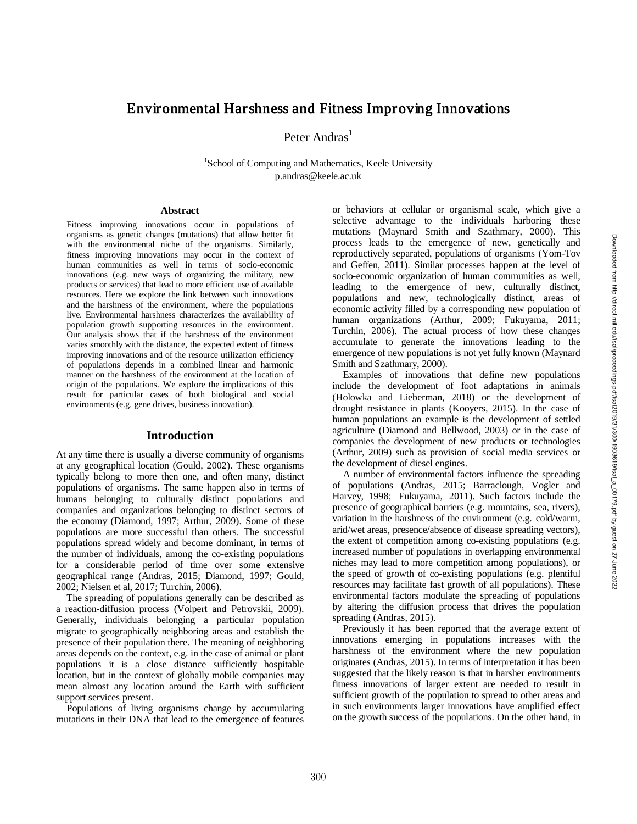# Environmental Harshness and Fitness Improving Innovations

Peter Andras<sup>1</sup>

<sup>1</sup>School of Computing and Mathematics, Keele University p.andras @keele.ac.uk

#### **Abstract**

Fitness improving innovations occur in populations of organisms as genetic changes (mutations) that allow better fit with the environmental niche of the organisms. Similarly, fitness improving innovations may occur in the context of human communities as well in terms of socio -economic innovations (e.g. new ways of organizing the military, new products or services) that lead to more efficient use of available resources. Here we explore the link between such innovations and the harshness of the environment, where the populations live. Environmental harshness characterizes the availability of population growth supporting resources in the environment. Our analysis shows that if the harshness of the environment varies smoothly with the distance, the expected extent of fitness improving innovations and of the resource utilization efficiency of populations depends in a combined linear and harmonic manner on the harshness of the environment at the location of origin of the populations. We explore the implications of this result for particular cases of both biological and social environments (e.g. gene drives, business innovation).

## **Introduction**

At any time there is usually a diverse community of organisms at any geographical location (Gould, 2002). These organisms typically belong to more then one, and often many, distinct populations of organisms . The same happen also in terms of humans belonging to culturally distinct populations and companies and organizations belonging to distinct sectors of the economy (Diamond, 1997; Arthur, 2009 ) . Some of these populations are more successful than others. The successful populations spread widely and become dominant, in terms of the number of individuals, among the co -existing populations for a considerable period of time over some extensive geographical range (Andras, 2015; Diamond, 1997; Gould, 2002; Nielsen et al, 2017; Turchin, 2006 ) .

The spreading of populations generally can be described as a reaction -diffusion process (Volpert and Petrovskii, 2009) . Generally, individuals belonging a particular population migrate to geographically neighboring areas and establish the presence of their population there. The meaning of neighboring areas depends on the context, e.g. in the case of animal or plant populations it is a close distance sufficiently hospitable location, but in the context of globally mobile companies may mean almost any location around the Earth with sufficient support services present.

Populations of living organisms change by accumulating mutations in their DNA that lead to the emergence of features or behaviors at cellular or organismal scale, which give a selective advantage to the individuals harboring these mutations (Maynard Smith and Szathmary, 2000). This process leads to the emergence of new, genetically and reproductively separated, populations of organisms (Yom -Tov and Geffen, 2011). Similar processes happen at the level of socio -economic organization of human communities as well, leading to the emergence of new, culturally distinct, populations and new, technologically distinct, areas of economic activity filled by a corresponding new population of human organizations (Arthur, 2009; Fukuyama, 2011; Turchin, 2006). The actual process of how these changes accumulate to generate the innovations leading to the emergence of new populations is not yet fully known (Maynard Smith and Szathmary, 2000) .

Examples of innovations that define new populations include the development of foot adaptations in animals (Holowka and Lieberman, 2018) or the development of dr ought resistance in plants (Kooyers, 2015). In the case of human populations an example is the development of settled agriculture (Diamond and Bellwood, 2003) or in the case of companies the development of new products or technologies (Arthur , 2009) such as provision of social media services or the development of diesel engines .

A number of environmental factors influence the spreading of populations (Andras, 2015; Barraclough, Vogler and Harvey, 1998; Fukuyama, 2011). Such factors include the presence of geographical barriers (e.g. mountains, sea, rivers), variation in the harshness of the environment (e.g. cold/warm, arid/wet areas, presence/absence of disease spreading vectors), the extent of competition among co -existing populations (e.g. increased number of populations in overlapping environmental niches may lead to more competition among populations), or the speed of growth of co -existing populations (e.g. plentiful resources may facilitate fast growth of all populations). These environmental factors modulate the spreading of populations by altering the diffusion process that drives the population spreading (Andras, 2015) .

Previously it has been reported that the average extent of innovations emerging in populations increases with the harshness of the environment where the new population originates (Andras, 2015). In terms of interpretation it has been suggested that the likely reason is that in harsher environments fitness innovations of larger extent are needed to result in sufficient growth of the population to spread to other areas and in such environments larger innovations have amplified effect on the growth success of the populations. On the other hand, in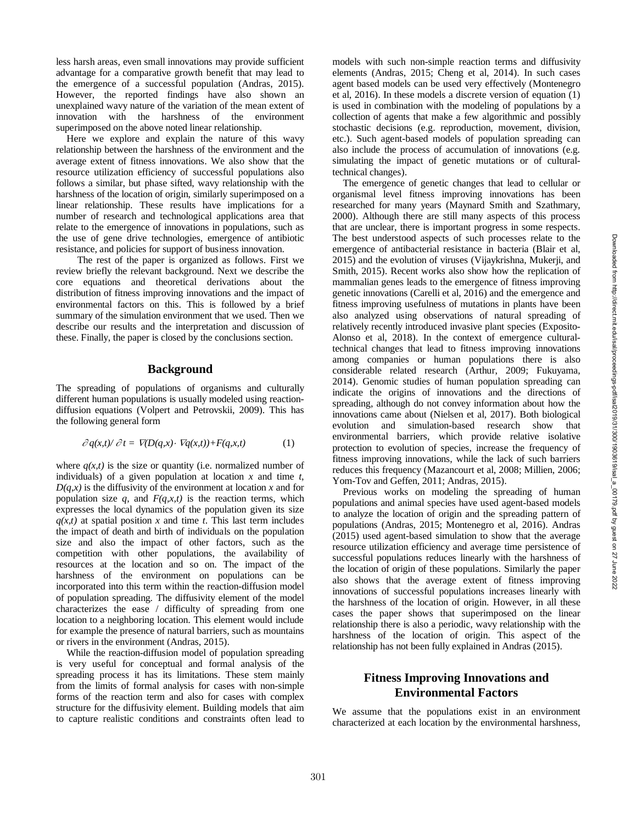less harsh areas, even small innovations may provide sufficient advantage for a comparative growth benefit that may lead to the emergence of a successful population (Andras, 2015). However, the reported findings have also shown an unexplained wavy nature of the variation of the mean extent of innovation with the harshness of the environment superimposed on the above noted linear relationship.

Here we explore and explain the nature of this wavy relationship between the harshness of the environment and the average extent of fitness innovations . We also show that the resource utilization efficiency of successful populations also follows a similar, but phase sifted, wavy relationship with the harshness of the location of origin, similarly superimposed on a linear relationship. These results have implications for a number of research and technological applications area that relate to the emergence of innovations in populations, such as the use of gene drive technologies, emergence of antibiotic resistance, and policies for support of business innovation.

The rest of the paper is organized as follows. First we review briefly the relevant background. Next we describe the core equations and theoretical derivations about the distribution of fitness improving innovations and the impact of environmental factors on this. This is followed by a brief summary of the simulation environment that we used. Then we describe our results and the interpretation and discussion of these. Finally, the paper is closed by the conclusions section.

### **Background**

The spreading of populations of organisms and culturally different human populations is usually modeled using reaction diffusion equations (Volpert and Petrovskii, 2009). This has the following general form

$$
\partial q(x,t)/\partial t = \nabla(D(q,x) \cdot \nabla q(x,t)) + F(q,x,t) \tag{1}
$$

where  $q(x,t)$  is the size or quantity (i.e. normalized number of individuals) of a given population at location *x* and time *t*,  $D(q, x)$  is the diffusivity of the environment at location x and for population size  $q$ , and  $F(q, x, t)$  is the reaction terms, which expresses the local dynamics of the population given its size  $q(x,t)$  at spatial position *x* and time *t*. This last term includes the impact of death and birth of individuals on the population size and also the impact of other factors, such as the competition with other populations, the availability of resources at the location and so on. The impact of the harshness of the environment on populations can be incorporated into this term within the reaction -diffusion model of population spreading. The diffusivity element of the model characterizes the ease / difficulty of spreading from one location to a neighboring location. This element would include for example the presence of natural barriers, such as mountains or rivers in the environment (Andras, 2015).

While the reaction -diffusion model of population spreading is very useful for conceptual and formal analysis of the spreading process it has its limitations. These stem mainly from the limits of formal analysis for cases with non -simple forms of the reaction term and also for cases with complex structure for the diffusivity element. Building models that aim to capture realistic conditions and constraints often lead to

models with such non -simple reaction terms and diffusivity elements (Andras, 2015; Cheng et al, 2014) . In such cases agent based models can be used very effectively (Montenegro et al, 2016 ). In these models a discrete version of equation (1) is used in combination with the modeling of populations by a collection of agents that make a few algorithmic and possibly stochastic decisions (e.g. reproduction, movement, division, etc.). Such agent -based models of population spreading can also include the process of accumulation of innovations (e.g. simulating the impact of genetic mutations or of cultural technical changes) .

The emergence of genetic changes that lead to cellular or organismal level fitness improving innovations has been researched for many years (Maynard Smith and Szathmary, 2000). Although there are still many aspects of this process that are unclear, there is important progress in some respects. The best understood aspects of such processes relate to the emergence of antibacterial resistance in bacteria (Blair et al, 2015) and the evolution of viruses (Vijaykrishna, Mukerji, and Smith, 2015). Recent works also show how the replication of mammalian genes leads to the emergence of fitness improving genetic innovations (Carelli et al, 2016) and the emergence and fitness improving usefulness of mutations in plants have been also analyzed using observations of natural spreading of relatively recently introduced invasive plant species (Exposito - Alonso et al, 2018). In the context of emergence cultural technical changes that lead to fitness improving innovations among companies or human populations there is also considerable related research (Arthur, 2009; Fukuyama, 2014). Genomic studies of human population spreading can indicate the origins of innovations and the directions of spreading, although do not convey information about how the innovations came about (Nielsen et al, 2017) . Both biological evolution and simulation -based research show that environmental barriers, which provide relative isolative protection to evolution of species, increase the frequency of fitness improving innovations, while the lack of such barriers reduces this frequency (Mazancourt et al, 2008; Millien, 2006; Yom-Tov and Geffen, 2011; Andras, 2015).

Previous works on modeling the spreading of human populations and animal species have used agent -based models to analyze the location of origin and the spreading pattern of populations (Andras, 2015; Montenegro et al, 2016 ). Andras (2015) used agent -based simulation to show that the average resource utilization efficiency and average time persistence of successful populations reduces linearly with the harshness of the location of origin of these populations. Similarly the paper also shows that the average extent of fitness improving innovations of successful populations increases linearly with the harshness of the location of origin. However, in all these cases the paper shows that superimposed on the linear relationship there is also a periodic, wavy relationship with the harshness of the location of origin. This aspect of the relationship has not been fully explained in Andras (2015).

# **Fitness Improving Innovations and Environmental Factors**

We assume that the populations exist in an environment characterized at each location by the environmental harshness,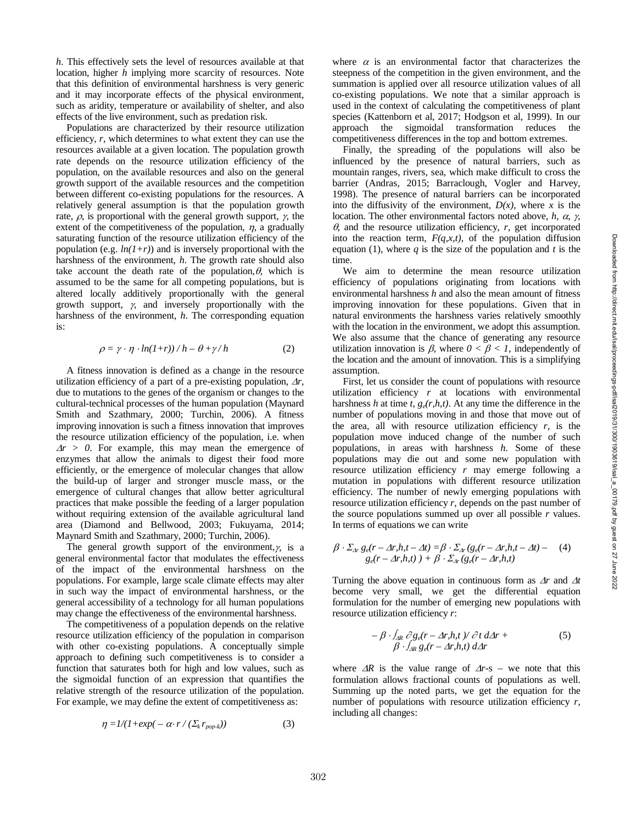*h*. This effectively sets the level of resources available at that location, higher *h* implying more scarcity of resources. Note that this definition of environmental harshness is very generic and it may incorporate effects of the physical environment, such as aridity, temperature or availability of shelter, and also effects of the live environment, such as predation risk.

Populations are characterized by their resource utilization efficiency, *r*, which determines to what extent they can use the resources available at a given location. The population growth rate depends on the resource utilization efficiency of the population, on the available resources and also on the general growth support of the available resources and the competition between different co-existing populations for the resources. A relatively general assumption is that the population growth rate,  $\rho$ , is proportional with the general growth support,  $\gamma$ , the extent of the competitiveness of the population,  $\eta$ , a gradually saturating function of the resource utilization efficiency of the population (e.g.  $ln(1+r)$ ) and is inversely proportional with the harshness of the environment, *h*. The growth rate should also take account the death rate of the population,  $\theta$ , which is assumed to be the same for all competing populations, but is altered locally additively proportionally with the general growth support,  $\gamma$ , and inversely proportionally with the harshness of the environment, *h*. The corresponding equation is:

$$
\rho = \gamma \cdot \eta \cdot ln(1+r) / h - \theta + \gamma / h \tag{2}
$$

A fitness innovation is defined as a change in the resource utilization efficiency of a part of a pre -existing population, <sup>∆</sup>*r*, due to mutations to the genes of the organism or changes to the cultural -technical processes of the human population (Maynard Smith and Szathmary, 2000; Turchin, 2006). A fitness improving innovation is such a fitness innovation that improves the resource utilization efficiency of the population, i.e. when  $\Delta r > 0$ . For example, this may mean the emergence of enzymes that allow the animals to digest their food more efficiently, or the emergence of molecular changes that allow the build -up of larger and stronger muscle mass, or the emergence of cultural changes that allow better agricultural practices that make possible the feeding of a larger population without requiring extension of the available agricultural land area (Diamond and Bellwood, 2003; Fukuyama, 2014; Maynard Smith and Szathmary, 2000; Turchin, 2006) .

The general growth support of the environment, $\gamma$ , is a general environmental factor that modulates the effectiveness of the impact of the environmental harshness on the populations. For example, large scale climate effects may alter in such way the impact of environmental harshness, or the general accessibility of a technology for all human populations may change the effectiveness of the environmental harshness.

The competitiveness of a population depends on the relative resource utilization efficiency of the population in comparison with other co -existing populations. A conceptually simple approach to defining such competitiveness is to consider a function that saturates both for high and low values, such as the sigmoidal function of an expression that quantifies the relative strength of the resource utilization of the population. For example, we may define the extent of competitiveness as:

$$
\eta = I/(I + exp(-\alpha \cdot r / (\Sigma_k r_{pop-k})) \tag{3}
$$

where  $\alpha$  is an environmental factor that characterizes the steepness of the competition in the given environment, and the summation is applied over all resource utilization values of all co -existing populations . We note that a similar approach is used in the context of calculating the competitiveness of plant species (Kattenborn et al, 2017; Hodgson et al, 1999). In our approach the sigmoidal transformation reduces the competitiveness differences in the top and bottom extremes .

Finally, the spreading of the populations will also be influenced by the presence of natural barriers, such as mountain ranges, rivers, sea, which make difficult to cross the barrier (Andras, 2015; Barraclough, Vogler and Harvey, 1998). The presence of natural barriers can be incorporated into the diffusivity of the environment,  $D(x)$ , where x is the location. The other environmental factors noted above, *h*, <sup>α</sup>, γ, θ, and the resource utilization efficiency, *r*, get incorporated into the reaction term,  $F(q, x, t)$ , of the population diffusion equation (1), where  $q$  is the size of the population and  $t$  is the time.

We aim to determine the mean resource utilization efficiency of populations originating from locations with environmental harshness *h* and also the mean amount of fitness improving innovation for these populations. Given that in natural environments the harshness varies relatively smoothly with the location in the environment, we adopt this assumption. We also assume that the chance of generating any resource utilization innovation is  $\beta$ , where  $0 < \beta < 1$ , independently of the location and the amount of innovation. This is a simplifying assumption.

First, let us consider the count of populations with resource utilization efficiency *r* at locations with environmental harshness  $h$  at time  $t$ ,  $g_e(r, h, t)$ . At any time the difference in the number of populations moving in and those that move out of the area, all with resource utilization efficiency *r,* is the population move induced change of the number of such populations , in areas with harshness *h* . Some of these populations may die out and some new population with resource utilization efficiency *r* may emerge following a mutation in populations with different resource utilization efficiency. The number of newly emerging populations with resource utilization efficiency  $r$ , depends on the past number of the source populations summed up over all possible *r* values. In terms of equations we can write

$$
\beta \cdot \Sigma_{\Delta r} g_e(r - \Delta r, h, t - \Delta t) = \beta \cdot \Sigma_{\Delta r} (g_e(r - \Delta r, h, t - \Delta t) - (4)
$$
  
 
$$
g_e(r - \Delta r, h, t) + \beta \cdot \Sigma_{\Delta r} (g_e(r - \Delta r, h, t)
$$

Turning the above equation in continuous form as <sup>∆</sup>*r* and ∆*t* become very small, we get the differential equation formulation for the number of emerging new populations with resource utilization efficiency *r* :

$$
- \beta \cdot \int_{AR} \partial g_e(r - \Delta r, h, t) / \partial t \, d\Delta r +
$$
  
 
$$
\beta \cdot \int_{AR} g_e(r - \Delta r, h, t) \, d\Delta r \tag{5}
$$

where  $\Delta R$  is the value range of  $\Delta r$ -s – we note that this formulation allows fractional counts of populations as well. Summing up the noted parts, we get the equation for the number of populations with resource utilization efficiency *r*, including all changes: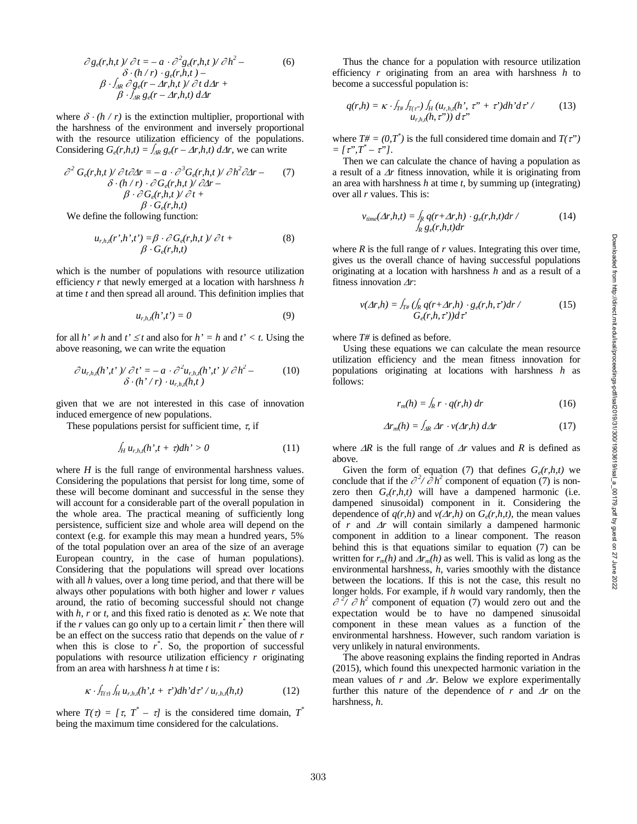$$
\partial g_e(r, h, t) / \partial t = -a \cdot \partial^2 g_e(r, h, t) / \partial h^2 -
$$
  
\n
$$
\delta \cdot (h/r) \cdot g_e(r, h, t) -
$$
  
\n
$$
\beta \cdot \int_{AR} \partial g_e(r - \Delta r, h, t) / \partial t d\Delta r +
$$
  
\n
$$
\beta \cdot \int_{AR} g_e(r - \Delta r, h, t) d\Delta r
$$
\n(6)

where  $\delta \cdot (h / r)$  is the extinction multiplier, proportional with the harshness of the environment and inversely proportional with the resource utilization efficiency of the populations. Considering  $G_e(r, h, t) = \int_{AR} g_e(r - \Delta r, h, t) d\Delta r$ , we can write

$$
\partial^2 G_e(r, h, t) / \partial t \partial \Delta r = -a \cdot \partial^3 G_e(r, h, t) / \partial h^2 \partial \Delta r -
$$
  
\n
$$
\delta \cdot (h/r) \cdot \partial G_e(r, h, t) / \partial \Delta r -
$$
  
\n
$$
\beta \cdot \partial G_e(r, h, t) / \partial t +
$$
  
\n
$$
\beta \cdot G_e(r, h, t)
$$
  
\nWe define the following function:

We define the following function:

$$
u_{r,h,t}(r',h',t') = \beta \cdot \partial G_e(r,h,t) / \partial t +
$$
  
 
$$
\beta \cdot G_e(r,h,t)
$$
 (8)

which is the number of populations with resource utilization efficiency *r* that newly emerged at a location with harshness *h* at time *t* and then spread all around. This definition implies that

$$
u_{r,h,t}(h',t') = 0 \tag{9}
$$

for all  $h' \neq h$  and  $t' \leq t$  and also for  $h' = h$  and  $t' < t$ . Using the above reasoning, we can write the equation

$$
\frac{\partial u_{r,h,t}(h',t')}{\partial t'} = -a \cdot \frac{\partial^2 u_{r,h,t}(h',t')}{\partial h^2} - (10)
$$
  

$$
\frac{\partial (h'/r) \cdot u_{r,h,t}(h,t)}{\partial t}
$$

given that we are not interested in this case of innovation induced emergence of new populations.

These populations persist for sufficient time,  $\tau$ , if

$$
\int_{H} u_{r,h,t}(h',t+\tau)dh' > 0 \tag{11}
$$

where  $H$  is the full range of environmental harshness values. Considering the populations that persist for long time, some of these will become dominant and successful in the sense they will account for a considerable part of the overall population in the whole area. The practical meaning of sufficiently long persistence, sufficient size and whole area will depend on the context (e.g. for example this may mean a hundred years, 5% of the total population over an area of the size of an average European country, in the case of human populations). Considering that the populations will spread over locations with all *h* values, over a long time period, and that there will be always other populations with both higher and lower *r* values around, the ratio of becoming successful should not change with  $h$ ,  $r$  or  $t$ , and this fixed ratio is denoted as  $\kappa$ . We note that if the  $r$  values can go only up to a certain limit  $r^*$  then there will be an effect on the success ratio that depends on the value of *r* when this is close to  $r^*$ . So, the proportion of successful populations with resource utilization efficiency *r* originating from an area with harshness *h* at time *t* is:

$$
\kappa \cdot \int_{T(\tau)} \int_H u_{r,h,t}(h^{\prime}, t+\tau^{\prime}) dh^{\prime} d\tau^{\prime} / u_{r,h,t}(h,t) \tag{12}
$$

where  $T(\tau) = [\tau, T^* - \tau]$  is the considered time domain,  $T^*$ being the maximum time considered for the calculations .

Thus the chance for a population with resource utilization efficiency *r* originating from an area with harshness *h* to become a successful population is:

$$
q(r,h) = \kappa \cdot f_{T\#} f_{T(\tau^*)} \int_H (u_{r,h,t}(h^*, \tau^* + \tau^*) dh^* d\tau' / \qquad (13)
$$
  

$$
u_{r,h,t}(h, \tau^*)) d\tau^*
$$

where  $T# = (0, T^*)$  is the full considered time domain and  $T(\tau^*)$  $= [\tau$ ", $T^* - \tau$ "].

Then we can calculate the chance of having a population as a result of a <sup>∆</sup>*r* fitness innovation, while it is originating from an area with harshness *h* at time *t*, by summing up (integrating) over all *r* values. This is:

$$
v_{time}(\Delta r, h, t) = \int_{R} q(r + \Delta r, h) \cdot g_e(r, h, t) dr \tag{14}
$$
\n
$$
\int_{R} g_e(r, h, t) dr
$$

where  $R$  is the full range of  $r$  values. Integrating this over time, gives us the overall chance of having successful populations originating at a location with harshness *h* and as a result of a fitness innovation ∆*r* :

$$
v(\Delta r, h) = \int_{T^{\#}} (\int_{R} q(r + \Delta r, h) \cdot g_e(r, h, \tau') dr \qquad (15)
$$

$$
G_e(r, h, \tau') ) d\tau'
$$

where *T#* is defined as before.

Using these equations we can calculate the mean resource utilization efficiency and the mean fitness innovation for populations originating at locations with harshness *h* as follows:

$$
r_m(h) = \int_R r \cdot q(r, h) \, dr \tag{16}
$$

$$
\Delta r_m(h) = \int_{\Delta R} \Delta r \cdot v(\Delta r, h) \, d\Delta r \tag{17}
$$

where <sup>∆</sup>*R* is the full range of <sup>∆</sup>*r* values and *R* is defined as above.

Given the form of equation (7) that defines  $G_e(r, h, t)$  we conclude that if the  $\partial^2 / \partial h^2$  component of equation (7) is nonzero then  $G_e(r, h, t)$  will have a dampened harmonic (i.e. dampened sinusoidal) component in it. Considering the dependence of  $q(r, h)$  and  $v(\Delta r, h)$  on  $G_e(r, h, t)$ , the mean values of *r* and <sup>∆</sup>*r* will contain similarly a dampened harmonic component in addition to a linear component. The reason behind this is that equations similar to equation (7) can be written for  $r_m(h)$  and  $\Delta r_m(h)$  as well. This is valid as long as the environmental harshness, *h*, varies smoothly with the distance between the locations. If this is not the case, this result no longer holds. For example, if *h* would vary randomly, then the  $\partial^2$   $\partial h^2$  component of equation (7) would zero out and the expectation would be to have no dampened sinusoidal component in these mean values as a function of the environmental harshness. However, such random variation is very unlikely in natural environments.

The above reasoning explains the finding reported in Andras (2015), which found this unexpected harmonic variation in the mean values of  $r$  and  $\Delta r$ . Below we explore experimentally further this nature of the dependence of  $r$  and  $\Delta r$  on the harshness, *h* .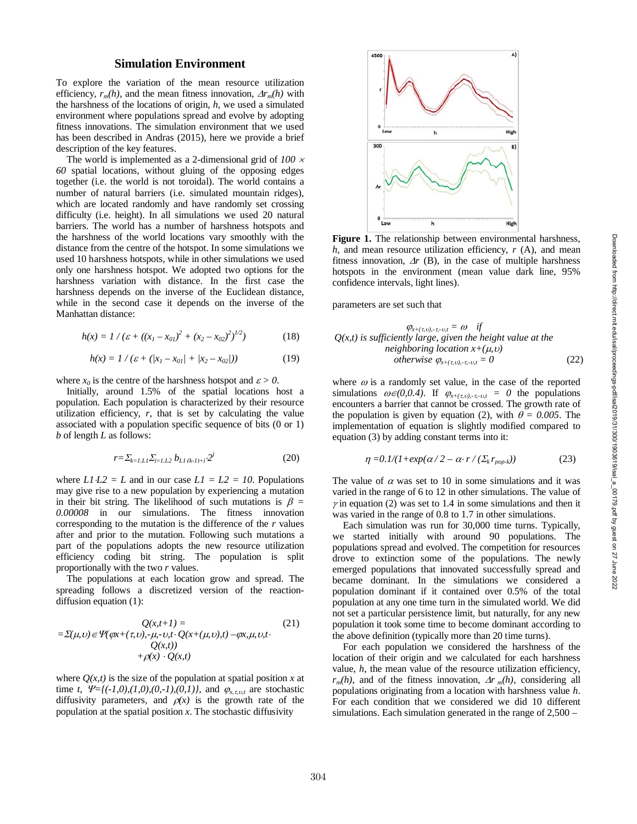# **Simulation Environment**

To explore the variation of the mean resource utilization efficiency,  $r_m(h)$ , and the mean fitness innovation,  $\Delta r_m(h)$  with the harshness of the locations of origin, *h*, we used a simulated environment where populations spread and evolve by adopting fitness innovations. The simulation environment that we used has been described in Andras (2015), here we provide a brief description of the key features.

The world is implemented as a 2-dimensional grid of *100*  $\times$ *60* spatial locations, without gluing of the opposing edges together (i.e. the world is not toroidal). The world contains a number of natural barriers (i.e. simulated mountain ridges), which are located randomly and have randomly set crossing difficulty (i.e. height). In all simulations we used 20 natural barriers. The world has a number of harshness hotspots and the harshness of the world locations vary smoothly with the distance from the centre of the hotspot. In some simulations we used 10 harshness hotspots, while in other simulations we used only one harshness hotspot. We adopted two options for the harshness variation with distance. In the first case the harshness depends on the inverse of the Euclidean distance, while in the second case it depends on the inverse of the Manhattan distance:

$$
h(x) = 1 / (\varepsilon + ((x_1 - x_{01})^2 + (x_2 - x_{02})^2)^{1/2})
$$
 (18)

$$
h(x) = 1 / (\varepsilon + (|x_1 - x_{01}| + |x_2 - x_{02}|)) \tag{19}
$$

where  $x_0$  is the centre of the harshness hotspot and  $\varepsilon > 0$ .

Initially, around 1.5% of the spatial locations host a population. Each population is characterized by their resource utilization efficiency,  $r$ , that is set by calculating the value associated with a population specific sequence of bits (0 or 1) *b* of length *L* as follows:

$$
r = \sum_{k=1, L} \sum_{j=1, L} b_{L1(k-1)+j} \cdot 2^{j} \tag{20}
$$

where  $LI$   $L2 = L$  and in our case  $LI = L2 = 10$ . Populations may give rise to a new population by experiencing a mutation in their bit string. The likelihood of such mutations is  $\beta =$ *0.00008* in our simulations. The fitness innovation corresponding to the mutation is the difference of the *r* values after and prior to the mutation. Following such mutations a part of the populations adopts the new resource utilization efficiency coding bit string. The population is split proportionally with the two *r* values.

The populations at each location grow and spread. The spreading follows a discretized version of the reaction diffusion equation (1):

$$
Q(x,t+1) =
$$
  
=  $\Sigma(\mu, \nu) \in \Psi(\varphi x + (\tau, \nu), -\mu, -\nu, t \cdot Q(x + (\mu, \nu), t) - \varphi x, \mu, \nu, t \cdot C(x,t))$   
+  $\varphi(x) \cdot Q(x,t)$  (21)

where  $Q(x,t)$  is the size of the population at spatial position x at time *t*,  $\Psi = \{(-1,0), (1,0), (0,-1), (0,1)\}$ , and  $\varphi_{x, \tau, v, t}$  are stochastic diffusivity parameters, and  $\rho(x)$  is the growth rate of the population at the spatial position *x*. The stochastic diffusivity



**Figure 1 .** The relationship between environmental harshness, *h*, and mean resource utilization efficiency, *r* (A), and mean fitness innovation,  $\Delta r$  (B), in the case of multiple harshness hotspots in the environment (mean value dark line, 95% confidence intervals, light lines) .

parameters are set such that

$$
Q(x,t) \text{ is sufficiently large, given the height value at theneighboring location } x + (\mu, v)
$$
  
otherwise  $\varphi_{x+(\tau,v),\tau_v,v,\tau} = 0$  (22)

where  $\omega$  is a randomly set value, in the case of the reported simulations  $\omega \in (0, 0, 4)$ . If  $\varphi_{x+(\tau, v), -\tau, -v, t} = 0$  the populations encounters a barrier that cannot be crossed. The growth rate of the population is given by equation (2), with  $\theta = 0.005$ . The implementation of equation is slightly modified compared to equation (3) by adding constant terms into it:

$$
\eta = 0.1/(1 + \exp(\alpha/2 - \alpha \cdot r / (\Sigma_k r_{pop-k})) \tag{23}
$$

The value of  $\alpha$  was set to 10 in some simulations and it was varied in the range of 6 to 12 in other simulations. The value of  $\gamma$  in equation (2) was set to 1.4 in some simulations and then it was varied in the range of 0.8 to 1.7 in other simulations.

Each simulation was run for 30,000 time turns. Typically, we started initially with around 90 populations. The populations spread and evolved. The competition for resources drove to extinction some of the populations. The newly emerged populations that innovated successfully spread and became dominant. In the simulations we considered a population dominant if it contained over 0.5% of the total population at any one time turn in the simulated world. We did not set a particular persistence limit, but naturally, for any new population it took some time to become dominant according to the above definition (typically more than 20 time turns).

For each population we considered the harshness of the location of their origin and we calculated for each harshness value, *h*, the mean value of the resource utilization efficiency,  $r_m(h)$ , and of the fitness innovation,  $\Delta r_m(h)$ , considering all populations originating from a location with harshness value *h*. For each condition that we considered we did 10 different simulations. Each simulation generated in the range of 2,500 –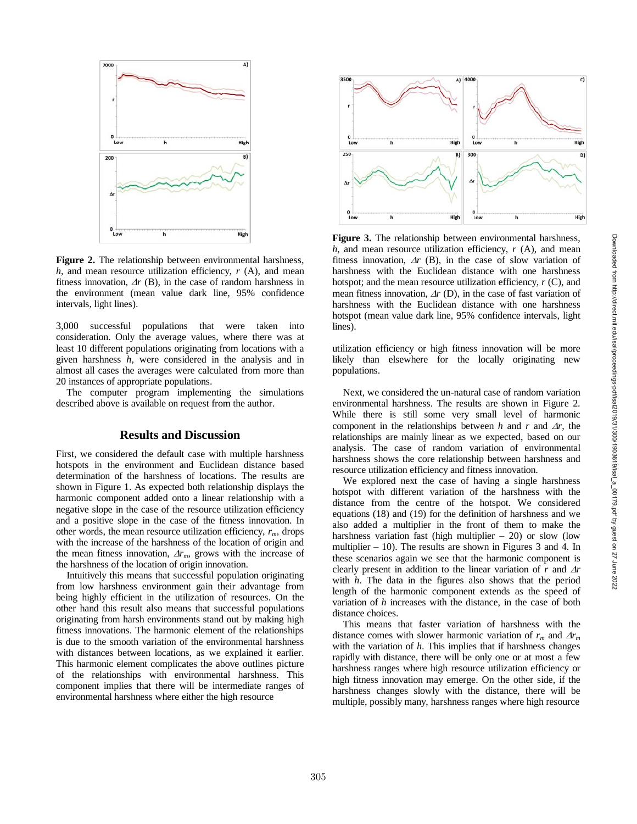

**Figure 2 .** The relationship between environmental harshness, *h*, and mean resource utilization efficiency, *r* (A), and mean fitness innovation,  $\Delta r$  (B), in the case of random harshness in the environment (mean value dark line, 95% confidence intervals, light lines) .

3,000 successful populations that were taken into consideration. Only the average values, where there was at least 10 different populations originating from locations with a given harshness *h*, were considered in the analysis and in almost all cases the averages were calculated from more than 20 instances of appropriate populations.

The computer program implementing the simulations described above is available on request from the author.

# **Results and Discussion**

First , we considered the default case with multiple harshness hotspots in the environment and Euclidean distance based determination of the harshness of locations. The results are shown in Figure 1. As expected both relationship displays the harmonic component added onto a linear relationship with a negative slope in the case of the resource utilization efficiency and a positive slope in the case of the fitness innovation. In other words, the mean resource utilization efficiency,  $r_m$ , drops with the increase of the harshness of the location of origin and the mean fitness innovation,  $\Delta r_m$ , grows with the increase of the harshness of the location of origin innovation.

Intuitively this means that successful population originating from low harshness environment gain their advantage from being highly efficient in the utilization of resources. On the other hand this result also means that successful populations originating from harsh environments stand out by making high fitness innovations. The harmonic element of the relationships is due to the smooth variation of the environmental harshness with distances between locations, as we explained it earlier. This harmonic element complicates the above outlines picture of the relationships with environmental harshness. This component implies that there will be intermediate ranges of environmental harshness where either the high resource



**Figure 3 .** The relationship between environmental harshness, *h*, and mean resource utilization efficiency, *r* (A), and mean fitness innovation,  $\Delta r$  (B), in the case of slow variation of harshness with the Euclidean distance with one harshness hotspot; and the mean resource utilization efficiency, *r* (C), and mean fitness innovation, <sup>∆</sup>*r* (D), in the case of fast variation of harshness with the Euclidean distance with one harshness hotspot (mean value dark line, 95% confidence intervals, light lines) .

utilization efficiency or high fitness innovation will be more likely than elsewhere for the locally originating new populations.

Next, we considered the un -natural case of random variation environmental harshness. The results are shown in Figure 2. While there is still some very small level of harmonic component in the relationships between  $h$  and  $r$  and  $\Delta r$ , the relationships are mainly linear as we expected, based on our analysis. The case of random variation of environmental harshness shows the core relationship between harshness and resource utilization efficiency and fitness innovation.

We explored next the case of having a single harshness hotspot with different variation of the harshness with the distance from the centre of the hotspot. We considered equations (18) and (19) for the definition of harshness and we also added a multiplier in the front of them to make the harshness variation fast (high multiplier – 20) or slow (low multiplier – 10). The results are shown in Figures 3 and 4 . In these scenarios again we see that the harmonic component is clearly present in addition to the linear variation of *r* and ∆*r* with *h*. The data in the figures also shows that the period length of the harmonic component extends as the speed of variation of *h* increases with the distance, in the case of both distance choices.

This means that faster variation of harshness with the distance comes with slower harmonic variation of  $r_m$  and  $\Delta r_m$ with the variation of *h*. This implies that if harshness changes rapidly with distance, there will be only one or at most a few harshness ranges where high resource utilization efficiency or high fitness innovation may emerge. On the other side, if the harshness changes slowly with the distance, there will be multiple, possibly many, harshness ranges where high resource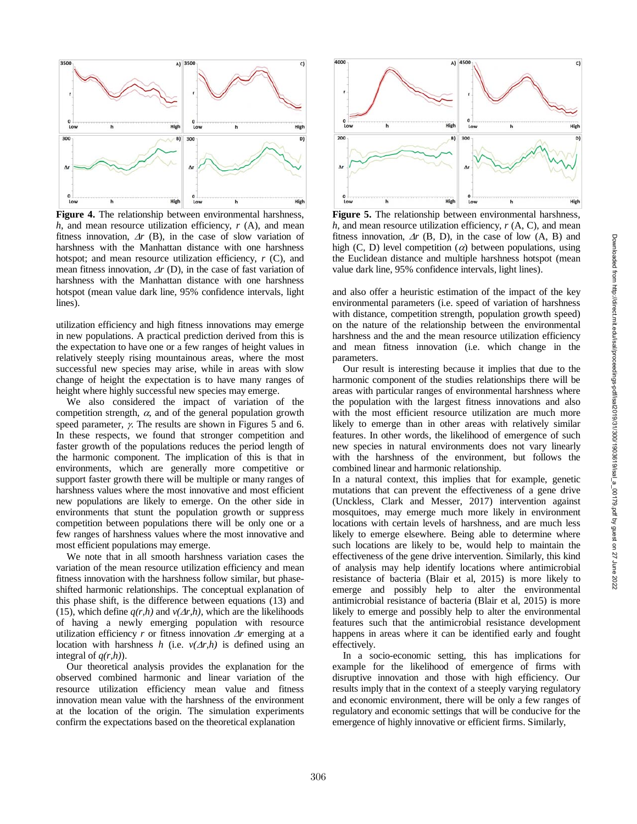

**Figure 4 .** The relationship between environmental harshness, *h*, and mean resource utilization efficiency, *r* (A), and mean fitness innovation,  $\Delta r$  (B), in the case of slow variation of harshness with the Manhattan distance with one harshness hotspot; and mean resource utilization efficiency, *r* (C), and mean fitness innovation,  $\Delta r$  (D), in the case of fast variation of harshness with the Manhattan distance with one harshness hotspot (mean value dark line, 95% confidence intervals, light lines) .

utilization efficiency and high fitness innovations may emerge in new populations. A practical prediction derived from this is the expectation to have one or a few ranges of height values in relatively steeply rising mountainous areas, where the most successful new species may arise, while in areas with slow change of height the expectation is to have many ranges of height where highly successful new species may emerge.

We also considered the impact of variation of the competition strength,  $\alpha$ , and of the general population growth speed parameter, <sup>γ</sup>. The results are shown in Figures 5 and 6. In these respects, we found that stronger competition and faster growth of the populations reduces the period length of the harmonic component. The implication of this is that in environments, which are generally more competitive or support faster growth there will be multiple or many ranges of harshness values where the most innovative and most efficient new populations are likely to emerge. On the other side in environments that stunt the population growth or suppress competition between populations there will be only one or a few ranges of harshness values where the most innovative and most efficient populations may emerge.

We note that in all smooth harshness variation cases the variation of the mean resource utilization efficiency and mean fitness innovation with the harshness follow similar, but phase shifted harmonic relationships. The conceptual explanation of this phase shift, is the difference between equations (13) and (15), which define  $q(r,h)$  and  $v(\Delta r,h)$ , which are the likelihoods of having a newly emerging population with resource utilization efficiency *r* or fitness innovation <sup>∆</sup>*r* emerging at a location with harshness  $h$  (i.e.  $v(\Delta r, h)$  is defined using an integral of *q(r,h)*).

Our theoretical analysis provides the explanation for the observed combined harmonic and linear variation of the resource utilization efficiency mean value and fitness innovation mean value with the harshness of the environment at the location of the origin. The simulation experiments confirm the expectations based on the theoretical explanation



**Figure 5 .** The relationship between environmental harshness, *h*, and mean resource utilization efficiency, *r* (A, C), and mean fitness innovation,  $\Delta r$  (B, D), in the case of low (A, B) and high  $(C, D)$  level competition  $(a)$  between populations, using the Euclidean distance and multiple harshness hotspot (mean value dark line, 95% confidence intervals, light lines) .

and also offer a heuristic estimation of the impact of the key environmental parameters (i.e. speed of variation of harshness with distance, competition strength, population growth speed) on the nature of the relationship between the environmental harshness and the and the mean resource utilization efficiency and mean fitness innovation (i.e. which change in the parameters.

Our result is interesting because it implies that due to the harmonic component of the studies relationships there will be areas with particular range s of environmental harshness where the population with the largest fitness innovations and also with the most efficient resource utilization are much more likely to emerge than in other areas with relatively similar features . In other words, the likelihood of emergence of such new species in natural environments does not vary linearly with the harshness of the environment, but follows the combined linear and harmonic relationship.

In a natural context, this implies that for example, genetic mutations that can prevent the effectiveness of a gene drive (Unckless, Clark and Messer, 2017) intervention against mosquitoes, may emerge much more likely in environment locations with certain levels of harshness, and are much less likely to emerge elsewhere. Being able to determine where such locations are likely to be, would help to maintain the effectiveness of the gene drive intervention. Similarly, this kind of analysis may help identify locations where antimicrobial resistance of bacteria (Blair et al, 2015) is more likely to emerge and possibly help to alter the environmental antimicrobial resistance of bacteria (Blair et al, 2015) is more likely to emerge and possibly help to alter the environmental features such that the antimicrobial resistance development happens in areas where it can be identified early and fought effectively.

In a socio -economic setting, this has implications for example for the likelihood of emergence of firms with disruptive innovation and those with high efficiency. Our results imply that in the context of a steeply varying regulatory and economic environment, there will be only a few range s of regulatory and economic settings that will be conducive for the emergence of highly innovative or efficient firms. Similarly,